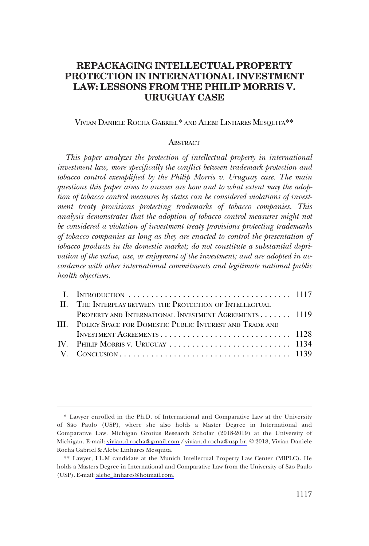# **REPACKAGING INTELLECTUAL PROPERTY PROTECTION IN INTERNATIONAL INVESTMENT LAW: LESSONS FROM THE PHILIP MORRIS V. URUGUAY CASE**

### VIVIAN DANIELE ROCHA GABRIEL\* AND ALEBE LINHARES MESQUITA\*\*

### **ABSTRACT**

*This paper analyzes the protection of intellectual property in international investment law, more specifically the conflict between trademark protection and tobacco control exemplified by the Philip Morris v. Uruguay case. The main questions this paper aims to answer are how and to what extent may the adoption of tobacco control measures by states can be considered violations of investment treaty provisions protecting trademarks of tobacco companies. This analysis demonstrates that the adoption of tobacco control measures might not be considered a violation of investment treaty provisions protecting trademarks of tobacco companies as long as they are enacted to control the presentation of tobacco products in the domestic market; do not constitute a substantial deprivation of the value, use, or enjoyment of the investment; and are adopted in accordance with other international commitments and legitimate national public health objectives.* 

| II. THE INTERPLAY BETWEEN THE PROTECTION OF INTELLECTUAL     |  |
|--------------------------------------------------------------|--|
| PROPERTY AND INTERNATIONAL INVESTMENT AGREEMENTS 1119        |  |
| III. POLICY SPACE FOR DOMESTIC PUBLIC INTEREST AND TRADE AND |  |
|                                                              |  |
|                                                              |  |
|                                                              |  |
|                                                              |  |

Lawyer enrolled in the Ph.D. of International and Comparative Law at the University \* of São Paulo (USP), where she also holds a Master Degree in International and Comparative Law. Michigan Grotius Research Scholar (2018-2019) at the University of Michigan. E-mail: [vivian.d.rocha@gmail.com](mailto:vivian.d.rocha@gmail.com) / [vivian.d.rocha@usp.br.](mailto:vivian.d.rocha@usp.br) © 2018, Vivian Daniele Rocha Gabriel & Alebe Linhares Mesquita.

Lawyer, LL.M candidate at the Munich Intellectual Property Law Center (MIPLC). He \*\* holds a Masters Degree in International and Comparative Law from the University of São Paulo (USP). E-mail: [alebe\\_linhares@hotmail.com.](mailto:alebe_linhares@hotmail.com)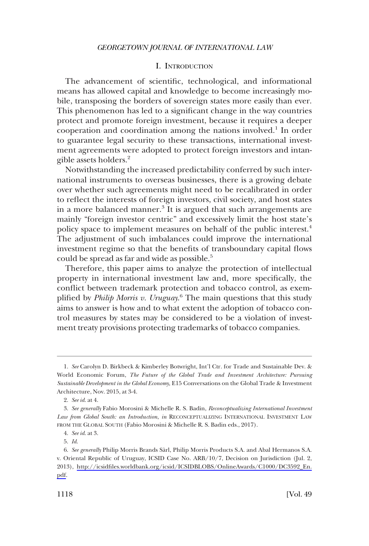### I. INTRODUCTION

<span id="page-1-0"></span>The advancement of scientific, technological, and informational means has allowed capital and knowledge to become increasingly mobile, transposing the borders of sovereign states more easily than ever. This phenomenon has led to a significant change in the way countries protect and promote foreign investment, because it requires a deeper cooperation and coordination among the nations involved.1 In order to guarantee legal security to these transactions, international investment agreements were adopted to protect foreign investors and intangible assets holders.2

Notwithstanding the increased predictability conferred by such international instruments to overseas businesses, there is a growing debate over whether such agreements might need to be recalibrated in order to reflect the interests of foreign investors, civil society, and host states in a more balanced manner.<sup>3</sup> It is argued that such arrangements are mainly "foreign investor centric" and excessively limit the host state's policy space to implement measures on behalf of the public interest.<sup>4</sup> The adjustment of such imbalances could improve the international investment regime so that the benefits of transboundary capital flows could be spread as far and wide as possible.<sup>5</sup>

Therefore, this paper aims to analyze the protection of intellectual property in international investment law and, more specifically, the conflict between trademark protection and tobacco control, as exemplified by *Philip Morris v. Uruguay*. 6 The main questions that this study aims to answer is how and to what extent the adoption of tobacco control measures by states may be considered to be a violation of investment treaty provisions protecting trademarks of tobacco companies.

5. *Id*.

<sup>1.</sup> *See* Carolyn D. Birkbeck & Kimberley Botwright, Int'l Ctr. for Trade and Sustainable Dev. & World Economic Forum, *The Future of the Global Trade and Investment Architecture: Pursuing Sustainable Development in the Global Economy*, E15 Conversations on the Global Trade & Investment Architecture, Nov. 2015, at 3-4.

<sup>2.</sup> *See id*. at 4.

<sup>3.</sup> *See generally* Fabio Morosini & Michelle R. S. Badin, *Reconceptualizing International Investment Law from Global South: an Introduction*, *in* RECONCEPTUALIZING INTERNATIONAL INVESTMENT LAW FROM THE GLOBAL SOUTH (Fabio Morosini & Michelle R. S. Badin eds., 2017).

<sup>4.</sup> *See id*. at 3.

<sup>6.</sup> See generally Philip Morris Brands Sàrl, Philip Morris Products S.A. and Abal Hermanos S.A. v. Oriental Republic of Uruguay, ICSID Case No. ARB/10/7, Decision on Jurisdiction (Jul. 2, 2013), [http://icsidfiles.worldbank.org/icsid/ICSIDBLOBS/OnlineAwards/C1000/DC3592\\_En.](http://icsidfiles.worldbank.org/icsid/ICSIDBLOBS/OnlineAwards/C1000/DC3592_En.pdf) [pdf.](http://icsidfiles.worldbank.org/icsid/ICSIDBLOBS/OnlineAwards/C1000/DC3592_En.pdf)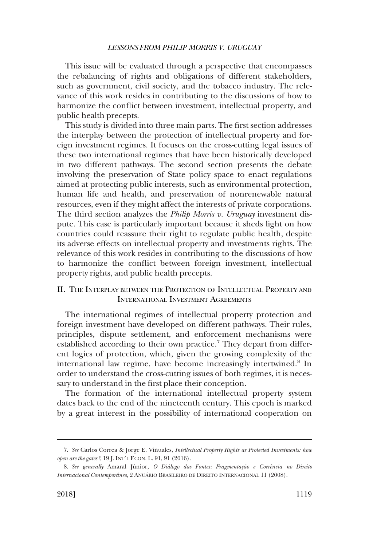<span id="page-2-0"></span>This issue will be evaluated through a perspective that encompasses the rebalancing of rights and obligations of different stakeholders, such as government, civil society, and the tobacco industry. The relevance of this work resides in contributing to the discussions of how to harmonize the conflict between investment, intellectual property, and public health precepts.

This study is divided into three main parts. The first section addresses the interplay between the protection of intellectual property and foreign investment regimes. It focuses on the cross-cutting legal issues of these two international regimes that have been historically developed in two different pathways. The second section presents the debate involving the preservation of State policy space to enact regulations aimed at protecting public interests, such as environmental protection, human life and health, and preservation of nonrenewable natural resources, even if they might affect the interests of private corporations. The third section analyzes the *Philip Morris v. Uruguay* investment dispute. This case is particularly important because it sheds light on how countries could reassure their right to regulate public health, despite its adverse effects on intellectual property and investments rights. The relevance of this work resides in contributing to the discussions of how to harmonize the conflict between foreign investment, intellectual property rights, and public health precepts.

# II. THE INTERPLAY BETWEEN THE PROTECTION OF INTELLECTUAL PROPERTY AND INTERNATIONAL INVESTMENT AGREEMENTS

The international regimes of intellectual property protection and foreign investment have developed on different pathways. Their rules, principles, dispute settlement, and enforcement mechanisms were established according to their own practice.<sup>7</sup> They depart from different logics of protection, which, given the growing complexity of the international law regime, have become increasingly intertwined.8 In order to understand the cross-cutting issues of both regimes, it is necessary to understand in the first place their conception.

The formation of the international intellectual property system dates back to the end of the nineteenth century. This epoch is marked by a great interest in the possibility of international cooperation on

<sup>7.</sup> See Carlos Correa & Jorge E. Viñuales, *Intellectual Property Rights as Protected Investments: how open are the gates?*, 19 J. INT'L ECON. L. 91, 91 (2016).

<sup>8.</sup> See generally Amaral Júnior, *O Diálogo das Fontes: Fragmentação e Coerência no Direito Internacional Contemporâneo*, 2 ANUÁRIO BRASILEIRO DE DIREITO INTERNACIONAL 11 (2008).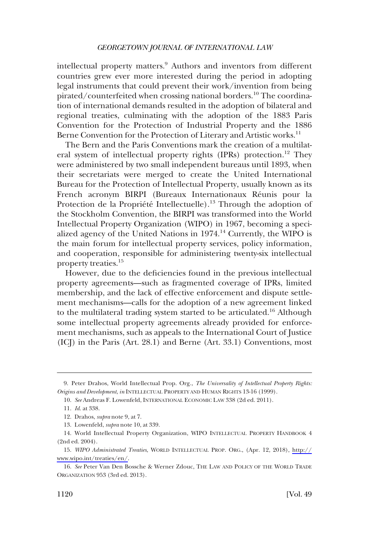intellectual property matters.<sup>9</sup> Authors and inventors from different countries grew ever more interested during the period in adopting legal instruments that could prevent their work/invention from being pirated/counterfeited when crossing national borders.<sup>10</sup> The coordination of international demands resulted in the adoption of bilateral and regional treaties, culminating with the adoption of the 1883 Paris Convention for the Protection of Industrial Property and the 1886 Berne Convention for the Protection of Literary and Artistic works.<sup>11</sup>

The Bern and the Paris Conventions mark the creation of a multilateral system of intellectual property rights (IPRs) protection.<sup>12</sup> They were administered by two small independent bureaus until 1893, when their secretariats were merged to create the United International Bureau for the Protection of Intellectual Property, usually known as its French acronym BIRPI (Bureaux Internationaux Réunis pour la Protection de la Propriété Intellectuelle).<sup>13</sup> Through the adoption of the Stockholm Convention, the BIRPI was transformed into the World Intellectual Property Organization (WIPO) in 1967, becoming a specialized agency of the United Nations in 1974.14 Currently, the WIPO is the main forum for intellectual property services, policy information, and cooperation, responsible for administering twenty-six intellectual property treaties.15

However, due to the deficiencies found in the previous intellectual property agreements—such as fragmented coverage of IPRs, limited membership, and the lack of effective enforcement and dispute settlement mechanisms—calls for the adoption of a new agreement linked to the multilateral trading system started to be articulated.16 Although some intellectual property agreements already provided for enforcement mechanisms, such as appeals to the International Court of Justice (ICJ) in the Paris (Art. 28.1) and Berne (Art. 33.1) Conventions, most

<sup>9.</sup> Peter Drahos, World Intellectual Prop. Org., *The Universality of Intellectual Property Rights: Origins and Development*, *in* INTELLECTUAL PROPERTY AND HUMAN RIGHTS 13-16 (1999).

<sup>10.</sup> *See* Andreas F. Lowenfeld, INTERNATIONAL ECONOMIC LAW 338 (2d ed. 2011).

<sup>11.</sup> *Id*. at 338.

<sup>12.</sup> Drahos, *supra* note 9, at 7.

<sup>13.</sup> Lowenfeld, *supra* note 10, at 339.

<sup>14.</sup> World Intellectual Property Organization, WIPO INTELLECTUAL PROPERTY HANDBOOK 4 (2nd ed. 2004).

*WIPO Administrated Treaties*, WORLD INTELLECTUAL PROP. ORG., (Apr. 12, 2018), [http://](http://www.wipo.int/treaties/en/) 15. [www.wipo.int/treaties/en/](http://www.wipo.int/treaties/en/).

<sup>16.</sup> *See* Peter Van Den Bossche & Werner Zdouc, THE LAW AND POLICY OF THE WORLD TRADE ORGANIZATION 953 (3rd ed. 2013).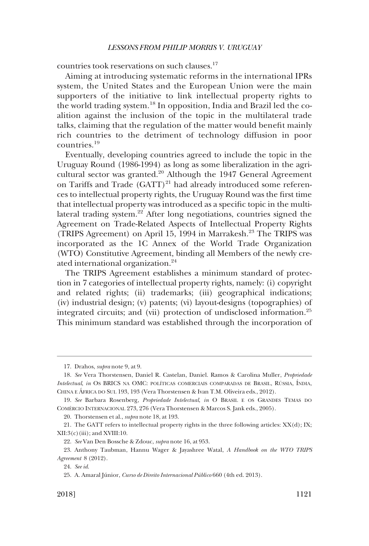countries took reservations on such clauses.<sup>17</sup>

Aiming at introducing systematic reforms in the international IPRs system, the United States and the European Union were the main supporters of the initiative to link intellectual property rights to the world trading system.18 In opposition, India and Brazil led the coalition against the inclusion of the topic in the multilateral trade talks, claiming that the regulation of the matter would benefit mainly rich countries to the detriment of technology diffusion in poor countries.<sup>19</sup>

Eventually, developing countries agreed to include the topic in the Uruguay Round (1986-1994) as long as some liberalization in the agricultural sector was granted.<sup>20</sup> Although the 1947 General Agreement on Tariffs and Trade  $(GATT)^{21}$  had already introduced some references to intellectual property rights, the Uruguay Round was the first time that intellectual property was introduced as a specific topic in the multilateral trading system.22 After long negotiations, countries signed the Agreement on Trade-Related Aspects of Intellectual Property Rights (TRIPS Agreement) on April 15, 1994 in Marrakesh.<sup>23</sup> The TRIPS was incorporated as the 1C Annex of the World Trade Organization (WTO) Constitutive Agreement, binding all Members of the newly created international organization.24

The TRIPS Agreement establishes a minimum standard of protection in 7 categories of intellectual property rights, namely: (i) copyright and related rights; (ii) trademarks; (iii) geographical indications; (iv) industrial design; (v) patents; (vi) layout-designs (topographies) of integrated circuits; and (vii) protection of undisclosed information.25 This minimum standard was established through the incorporation of

20. Thorstensen et al., *supra* note 18, at 193.

<sup>17.</sup> Drahos, *supra* note 9, at 9.

<sup>18.</sup> *See* Vera Thorstensen, Daniel R. Castelan, Daniel. Ramos & Carolina Muller, *Propriedade Intelectual, in* OS BRICS NA OMC: POLÍTICAS COMERCIAIS COMPARADAS DE BRASIL, RÚSSIA, ÍNDIA, CHINA E ÁFRICA DO SUL 193, 193 (Vera Thorstensen & Ivan T.M. Oliveira eds., 2012).

<sup>19.</sup> *See* Barbara Rosenberg, *Propriedade Intelectual*, *in* O BRASIL E OS GRANDES TEMAS DO COMÉRCIO INTERNACIONAL 273, 276 (Vera Thorstensen & Marcos S. Jank eds., 2005).

<sup>21.</sup> The GATT refers to intellectual property rights in the three following articles: XX(d); IX;  $XII:3(c)$ (iii); and  $XVIII:10$ .

<sup>22.</sup> *See* Van Den Bossche & Zdouc, *supra* note 16, at 953.

<sup>23.</sup> Anthony Taubman, Hannu Wager & Jayashree Watal, *A Handbook on the WTO TRIPS Agreement* 8 (2012).

<sup>24.</sup> *See id*.

<sup>25.</sup> A. Amaral Ju´nior, *Curso de Direito Internacional Pu´blico* 660 (4th ed. 2013).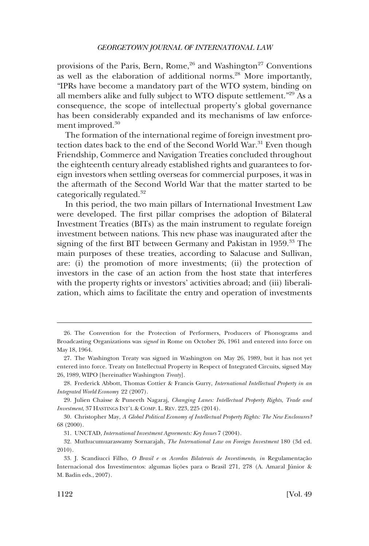provisions of the Paris, Bern, Rome,<sup>26</sup> and Washington<sup>27</sup> Conventions as well as the elaboration of additional norms.28 More importantly, "IPRs have become a mandatory part of the WTO system, binding on all members alike and fully subject to WTO dispute settlement."29 As a consequence, the scope of intellectual property's global governance has been considerably expanded and its mechanisms of law enforcement improved.<sup>30</sup>

The formation of the international regime of foreign investment protection dates back to the end of the Second World War.<sup>31</sup> Even though Friendship, Commerce and Navigation Treaties concluded throughout the eighteenth century already established rights and guarantees to foreign investors when settling overseas for commercial purposes, it was in the aftermath of the Second World War that the matter started to be categorically regulated.<sup>32</sup>

In this period, the two main pillars of International Investment Law were developed. The first pillar comprises the adoption of Bilateral Investment Treaties (BITs) as the main instrument to regulate foreign investment between nations. This new phase was inaugurated after the signing of the first BIT between Germany and Pakistan in 1959.<sup>33</sup> The main purposes of these treaties, according to Salacuse and Sullivan, are: (i) the promotion of more investments; (ii) the protection of investors in the case of an action from the host state that interferes with the property rights or investors' activities abroad; and (iii) liberalization, which aims to facilitate the entry and operation of investments

<sup>26.</sup> The Convention for the Protection of Performers, Producers of Phonograms and Broadcasting Organizations was *signed* in Rome on October 26, 1961 and entered into force on May 18, 1964.

<sup>27.</sup> The Washington Treaty was signed in Washington on May 26, 1989, but it has not yet entered into force. Treaty on Intellectual Property in Respect of Integrated Circuits, signed May 26, 1989, WIPO [hereinafter Washington *Treaty*].

<sup>28.</sup> Frederick Abbott, Thomas Cottier & Francis Gurry, *International Intellectual Property in an Integrated World Economy* 22 (2007).

<sup>29.</sup> Julien Chaisse & Puneeth Nagaraj, *Changing Lanes: Intellectual Property Rights, Trade and Investment*, 37 HASTINGS INT'L & COMP. L. REV. 223, 225 (2014).

<sup>30.</sup> Christopher May, *A Global Political Economy of Intellectual Property Rights: The New Enclosures?*  68 (2000).

<sup>31.</sup> UNCTAD, *International Investment Agreements: Key Issues* 7 (2004).

<sup>32.</sup> Muthucumuaraswamy Sornarajah, *The International Law on Foreign Investment* 180 (3d ed. 2010).

<sup>33.</sup> J. Scandiucci Filho, *O Brasil e os Acordos Bilaterais de Investimento*, *in* Regulamentação Internacional dos Investimentos: algumas lições para o Brasil 271, 278 (A. Amaral Júnior & M. Badin eds., 2007).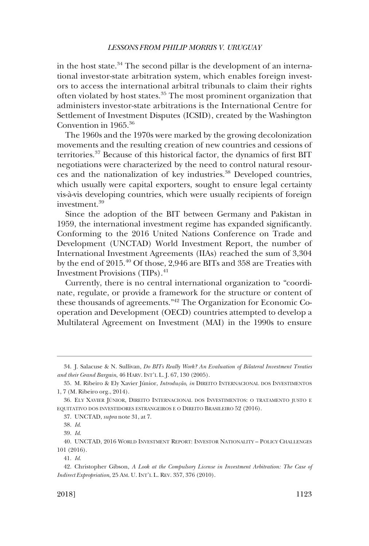in the host state. $34$  The second pillar is the development of an international investor-state arbitration system, which enables foreign investors to access the international arbitral tribunals to claim their rights often violated by host states.<sup>35</sup> The most prominent organization that administers investor-state arbitrations is the International Centre for Settlement of Investment Disputes (ICSID), created by the Washington Convention in 1965.36

The 1960s and the 1970s were marked by the growing decolonization movements and the resulting creation of new countries and cessions of territories.<sup>37</sup> Because of this historical factor, the dynamics of first BIT negotiations were characterized by the need to control natural resources and the nationalization of key industries.<sup>38</sup> Developed countries, which usually were capital exporters, sought to ensure legal certainty vis-a`-vis developing countries, which were usually recipients of foreign investment.39

Since the adoption of the BIT between Germany and Pakistan in 1959, the international investment regime has expanded significantly. Conforming to the 2016 United Nations Conference on Trade and Development (UNCTAD) World Investment Report, the number of International Investment Agreements (IIAs) reached the sum of 3,304 by the end of 2015.40 Of those, 2,946 are BITs and 358 are Treaties with Investment Provisions (TIPs).<sup>41</sup>

Currently, there is no central international organization to "coordinate, regulate, or provide a framework for the structure or content of these thousands of agreements."42 The Organization for Economic Cooperation and Development (OECD) countries attempted to develop a Multilateral Agreement on Investment (MAI) in the 1990s to ensure

<sup>34.</sup> J. Salacuse & N. Sullivan, *Do BITs Really Work? An Evaluation of Bilateral Investment Treaties and their Grand Bargain*, 46 HARV. INT'L L. J. 67, 130 (2005).

<sup>35.</sup> M. Ribeiro & Ely Xavier Júnior, *Introdução*, *in* DIREITO INTERNACIONAL DOS INVESTIMENTOS 1, 7 (M. Ribeiro org., 2014).

<sup>36.</sup> ELY XAVIER JÚNIOR, DIREITO INTERNACIONAL DOS INVESTIMENTOS: O TRATAMENTO JUSTO E EQUITATIVO DOS INVESTIDORES ESTRANGEIROS E O DIREITO BRASILEIRO 52 (2016).

<sup>37.</sup> UNCTAD, *supra* note 31, at 7.

<sup>38.</sup> *Id*.

<sup>39.</sup> *Id*.

<sup>40.</sup> UNCTAD, 2016 WORLD INVESTMENT REPORT: INVESTOR NATIONALITY – POLICY CHALLENGES 101 (2016).

<sup>41.</sup> *Id*.

<sup>42.</sup> Christopher Gibson, *A Look at the Compulsory License in Investment Arbitration: The Case of Indirect Expropriation*, 25 AM. U. INT'L L. REV. 357, 376 (2010).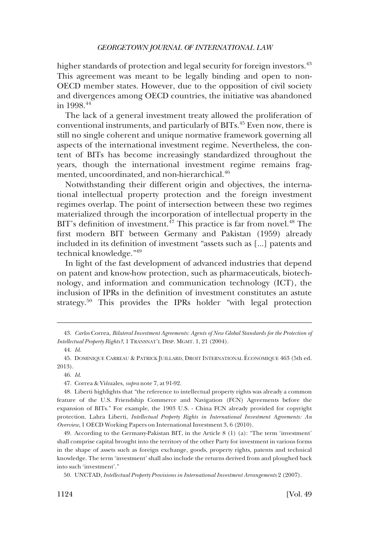higher standards of protection and legal security for foreign investors.<sup>43</sup> This agreement was meant to be legally binding and open to non-OECD member states. However, due to the opposition of civil society and divergences among OECD countries, the initiative was abandoned in 1998.44

The lack of a general investment treaty allowed the proliferation of conventional instruments, and particularly of BITs.45 Even now, there is still no single coherent and unique normative framework governing all aspects of the international investment regime. Nevertheless, the content of BITs has become increasingly standardized throughout the years, though the international investment regime remains fragmented, uncoordinated, and non-hierarchical.<sup>46</sup>

Notwithstanding their different origin and objectives, the international intellectual property protection and the foreign investment regimes overlap. The point of intersection between these two regimes materialized through the incorporation of intellectual property in the BIT's definition of investment.<sup>47</sup> This practice is far from novel.<sup>48</sup> The first modern BIT between Germany and Pakistan (1959) already included in its definition of investment "assets such as [...] patents and technical knowledge."49

In light of the fast development of advanced industries that depend on patent and know-how protection, such as pharmaceuticals, biotechnology, and information and communication technology (ICT), the inclusion of IPRs in the definition of investment constitutes an astute strategy.<sup>50</sup> This provides the IPRs holder "with legal protection

<sup>43.</sup> *Carlos* Correa, *Bilateral Investment Agreements: Agents of New Global Standards for the Protection of Intellectual Property Rights?*, 1 TRANSNAT'L DISP. MGMT. 1, 21 (2004).

<sup>44.</sup> *Id*.

<sup>45.</sup> DOMINIQUE CARREAU & PATRICK JUILLARD, DROIT INTERNATIONAL E´CONOMIQUE 463 (5th ed. 2013).

<sup>46.</sup> *Id*.

<sup>47.</sup> Correa & Vinuales, ~ *supra* note 7, at 91-92.

<sup>48.</sup> Liberti highlights that "the reference to intellectual property rights was already a common feature of the U.S. Friendship Commerce and Navigation (FCN) Agreements before the expansion of BITs." For example, the 1903 U.S. - China FCN already provided for copyright protection. Lahra Liberti, *Intellectual Property Rights in International Investment Agreements: An Overview*, 1 OECD Working Papers on International Investment 3, 6 (2010).

<sup>49.</sup> According to the Germany-Pakistan BIT, in the Article 8 (1) (a): "The term 'investment' shall comprise capital brought into the territory of the other Party for investment in various forms in the shape of assets such as foreign exchange, goods, property rights, patents and technical knowledge. The term 'investment' shall also include the returns derived from and ploughed back into such 'investment'."

<sup>50.</sup> UNCTAD, *Intellectual Property Provisions in International Investment Arrangements* 2 (2007).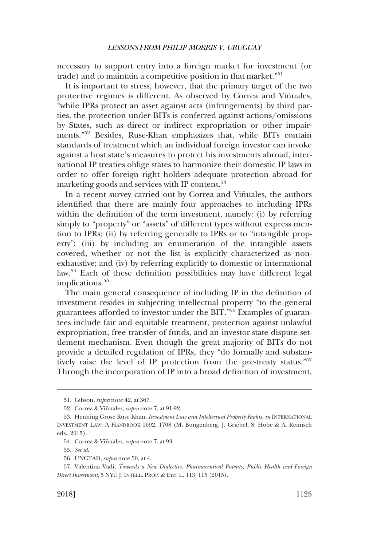necessary to support entry into a foreign market for investment (or trade) and to maintain a competitive position in that market."<sup>51</sup>

It is important to stress, however, that the primary target of the two protective regimes is different. As observed by Correa and Viñuales, "while IPRs protect an asset against acts (infringements) by third parties, the protection under BITs is conferred against actions/omissions by States, such as direct or indirect expropriation or other impairments."52 Besides, Ruse-Khan emphasizes that, while BITs contain standards of treatment which an individual foreign investor can invoke against a host state's measures to protect his investments abroad, international IP treaties oblige states to harmonize their domestic IP laws in order to offer foreign right holders adequate protection abroad for marketing goods and services with IP content.<sup>53</sup>

In a recent survey carried out by Correa and Viñuales, the authors identified that there are mainly four approaches to including IPRs within the definition of the term investment, namely: (i) by referring simply to "property" or "assets" of different types without express mention to IPRs; (ii) by referring generally to IPRs or to "intangible property"; (iii) by including an enumeration of the intangible assets covered, whether or not the list is explicitly characterized as nonexhaustive; and (iv) by referring explicitly to domestic or international law.<sup>54</sup> Each of these definition possibilities may have different legal implications.<sup>55</sup>

The main general consequence of including IP in the definition of investment resides in subjecting intellectual property "to the general guarantees afforded to investor under the BIT."56 Examples of guarantees include fair and equitable treatment, protection against unlawful expropriation, free transfer of funds, and an investor-state dispute settlement mechanism. Even though the great majority of BITs do not provide a detailed regulation of IPRs, they "do formally and substantively raise the level of IP protection from the pre-treaty status."57 Through the incorporation of IP into a broad definition of investment,

<sup>51.</sup> Gibson, *supra* note 42, at 367.

<sup>52.</sup> Correa & Vinuales, ~ *supra* note 7, at 91-92.

<sup>53.</sup> Henning Grose Ruse-Khan, *Investment Law and Intellectual Property Rights*, *in* INTERNATIONAL INVESTMENT LAW: A HANDBOOK 1692, 1708 (M. Bungenberg, J. Griebel, S. Hobe & A. Reinisch eds., 2015).

<sup>54.</sup> Correa & Vinuales, ~ *supra* note 7, at 93.

<sup>55.</sup> *See id*.

<sup>56.</sup> UNCTAD, *supra* note 50, at 4.

<sup>57.</sup> Valentina Vadi, *Towards a New Dialectics: Pharmaceutical Patents, Public Health and Foreign Direct Investment*, 5 NYU J. INTELL. PROP. & Ent. L. 113, 115 (2015).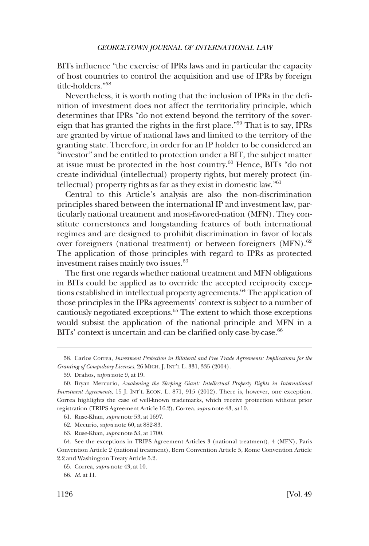BITs influence "the exercise of IPRs laws and in particular the capacity of host countries to control the acquisition and use of IPRs by foreign title-holders."<sup>58</sup>

Nevertheless, it is worth noting that the inclusion of IPRs in the definition of investment does not affect the territoriality principle, which determines that IPRs "do not extend beyond the territory of the sovereign that has granted the rights in the first place."59 That is to say, IPRs are granted by virtue of national laws and limited to the territory of the granting state. Therefore, in order for an IP holder to be considered an "investor" and be entitled to protection under a BIT, the subject matter at issue must be protected in the host country.60 Hence, BITs "do not create individual (intellectual) property rights, but merely protect (intellectual) property rights as far as they exist in domestic law."61

Central to this Article's analysis are also the non-discrimination principles shared between the international IP and investment law, particularly national treatment and most-favored-nation (MFN). They constitute cornerstones and longstanding features of both international regimes and are designed to prohibit discrimination in favor of locals over foreigners (national treatment) or between foreigners (MFN).<sup>62</sup> The application of those principles with regard to IPRs as protected investment raises mainly two issues.<sup>63</sup>

The first one regards whether national treatment and MFN obligations in BITs could be applied as to override the accepted reciprocity exceptions established in intellectual property agreements.64 The application of those principles in the IPRs agreements' context is subject to a number of cautiously negotiated exceptions.<sup>65</sup> The extent to which those exceptions would subsist the application of the national principle and MFN in a BITs' context is uncertain and can be clarified only case-by-case.<sup>66</sup>

<sup>58.</sup> Carlos Correa, *Investment Protection in Bilateral and Free Trade Agreements: Implications for the Granting of Compulsory Licenses*, 26 MICH. J. INT'L L. 331, 335 (2004).

<sup>59.</sup> Drahos, *supra* note 9, at 19.

<sup>60.</sup> Bryan Mercurio, *Awakening the Sleeping Giant: Intellectual Property Rights in International Investment Agreements*, 15 J. INT'L ECON. L. 871, 915 (2012). There is, however, one exception. Correa highlights the case of well-known trademarks, which receive protection without prior registration (TRIPS Agreement Article 16.2), Correa, *supra* note 43, *at* 10.

<sup>61.</sup> Ruse-Khan, *supra* note 53, at 1697.

<sup>62.</sup> Mecurio, *supra* note 60, at 882-83.

<sup>63.</sup> Ruse-Khan, *supra* note 53, at 1700.

<sup>64.</sup> See the exceptions in TRIPS Agreement Articles 3 (national treatment), 4 (MFN), Paris Convention Article 2 (national treatment), Bern Convention Article 5, Rome Convention Article 2.2 and Washington Treaty Article 5.2.

<sup>65.</sup> Correa, *supra* note 43, at 10.

<sup>66.</sup> *Id*. at 11.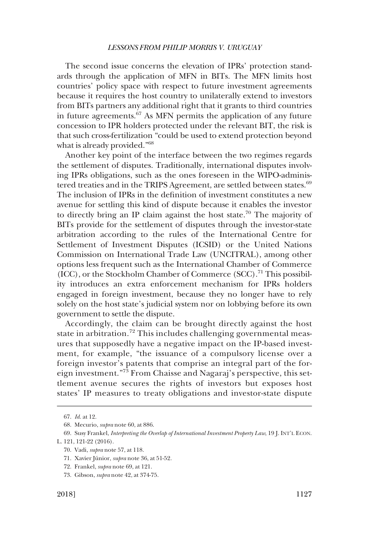The second issue concerns the elevation of IPRs' protection standards through the application of MFN in BITs. The MFN limits host countries' policy space with respect to future investment agreements because it requires the host country to unilaterally extend to investors from BITs partners any additional right that it grants to third countries in future agreements. $67$  As MFN permits the application of any future concession to IPR holders protected under the relevant BIT, the risk is that such cross-fertilization "could be used to extend protection beyond what is already provided."<sup>68</sup>

Another key point of the interface between the two regimes regards the settlement of disputes. Traditionally, international disputes involving IPRs obligations, such as the ones foreseen in the WIPO-administered treaties and in the TRIPS Agreement, are settled between states.<sup>69</sup> The inclusion of IPRs in the definition of investment constitutes a new avenue for settling this kind of dispute because it enables the investor to directly bring an IP claim against the host state.<sup>70</sup> The majority of BITs provide for the settlement of disputes through the investor-state arbitration according to the rules of the International Centre for Settlement of Investment Disputes (ICSID) or the United Nations Commission on International Trade Law (UNCITRAL), among other options less frequent such as the International Chamber of Commerce  $(ICC)$ , or the Stockholm Chamber of Commerce  $(SCC)$ .<sup>71</sup> This possibility introduces an extra enforcement mechanism for IPRs holders engaged in foreign investment, because they no longer have to rely solely on the host state's judicial system nor on lobbying before its own government to settle the dispute.

Accordingly, the claim can be brought directly against the host state in arbitration.<sup>72</sup> This includes challenging governmental measures that supposedly have a negative impact on the IP-based investment, for example, "the issuance of a compulsory license over a foreign investor's patents that comprise an integral part of the foreign investment."73 From Chaisse and Nagaraj's perspective, this settlement avenue secures the rights of investors but exposes host states' IP measures to treaty obligations and investor-state dispute

<sup>67.</sup> *Id*. at 12.

<sup>68.</sup> Mecurio, *supra* note 60, at 886.

<sup>69.</sup> Susy Frankel, *Interpreting the Overlap of International Investment Property Law*, 19 J. INT'L ECON. L. 121, 121-22 (2016).

<sup>70.</sup> Vadi, *supra* note 57, at 118.

<sup>71.</sup> Xavier Júnior, *supra* note 36, at 51-52.

<sup>72.</sup> Frankel, *supra* note 69, at 121.

<sup>73.</sup> Gibson, *supra* note 42, at 374-75.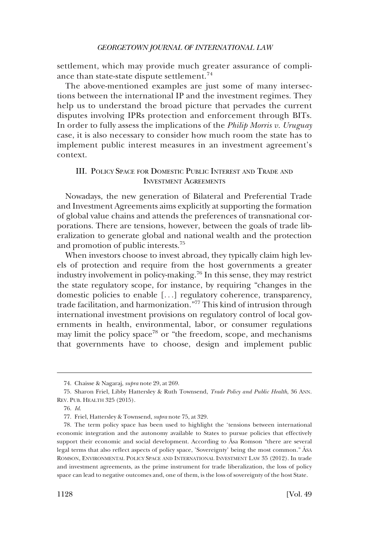<span id="page-11-0"></span>settlement, which may provide much greater assurance of compliance than state-state dispute settlement.<sup>74</sup>

The above-mentioned examples are just some of many intersections between the international IP and the investment regimes. They help us to understand the broad picture that pervades the current disputes involving IPRs protection and enforcement through BITs. In order to fully assess the implications of the *Philip Morris v. Uruguay*  case, it is also necessary to consider how much room the state has to implement public interest measures in an investment agreement's context.

# III. POLICY SPACE FOR DOMESTIC PUBLIC INTEREST AND TRADE AND INVESTMENT AGREEMENTS

Nowadays, the new generation of Bilateral and Preferential Trade and Investment Agreements aims explicitly at supporting the formation of global value chains and attends the preferences of transnational corporations. There are tensions, however, between the goals of trade liberalization to generate global and national wealth and the protection and promotion of public interests.75

When investors choose to invest abroad, they typically claim high levels of protection and require from the host governments a greater industry involvement in policy-making.76 In this sense, they may restrict the state regulatory scope, for instance, by requiring "changes in the domestic policies to enable [. . .] regulatory coherence, transparency, trade facilitation, and harmonization."77 This kind of intrusion through international investment provisions on regulatory control of local governments in health, environmental, labor, or consumer regulations may limit the policy space<sup>78</sup> or "the freedom, scope, and mechanisms that governments have to choose, design and implement public

<sup>74.</sup> Chaisse & Nagaraj, *supra* note 29, at 269.

<sup>75.</sup> Sharon Friel, Libby Hattersley & Ruth Townsend, *Trade Policy and Public Health*, 36 ANN. REV. PUB. HEALTH 325 (2015).

<sup>76.</sup> *Id*.

<sup>77.</sup> Friel, Hattersley & Townsend, *supra* note 75, at 329.

<sup>78.</sup> The term policy space has been used to highlight the 'tensions between international economic integration and the autonomy available to States to pursue policies that effectively support their economic and social development. According to Asa Romson "there are several legal terms that also reflect aspects of policy space, 'Sovereignty' being the most common." ÅSA ROMSON, ENVIRONMENTAL POLICY SPACE AND INTERNATIONAL INVESTMENT LAW 35 (2012). In trade and investment agreements, as the prime instrument for trade liberalization, the loss of policy space can lead to negative outcomes and, one of them, is the loss of sovereignty of the host State.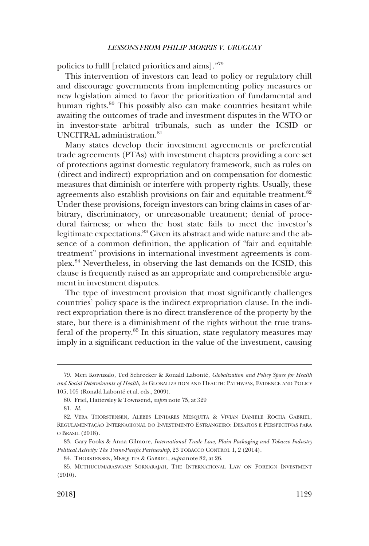policies to fulll [related priorities and aims]."79

This intervention of investors can lead to policy or regulatory chill and discourage governments from implementing policy measures or new legislation aimed to favor the prioritization of fundamental and human rights.<sup>80</sup> This possibly also can make countries hesitant while awaiting the outcomes of trade and investment disputes in the WTO or in investor-state arbitral tribunals, such as under the ICSID or UNCITRAL administration.<sup>81</sup>

Many states develop their investment agreements or preferential trade agreements (PTAs) with investment chapters providing a core set of protections against domestic regulatory framework, such as rules on (direct and indirect) expropriation and on compensation for domestic measures that diminish or interfere with property rights. Usually, these agreements also establish provisions on fair and equitable treatment.<sup>82</sup> Under these provisions, foreign investors can bring claims in cases of arbitrary, discriminatory, or unreasonable treatment; denial of procedural fairness; or when the host state fails to meet the investor's legitimate expectations.<sup>83</sup> Given its abstract and wide nature and the absence of a common definition, the application of "fair and equitable treatment" provisions in international investment agreements is complex.84 Nevertheless, in observing the last demands on the ICSID, this clause is frequently raised as an appropriate and comprehensible argument in investment disputes.

The type of investment provision that most significantly challenges countries' policy space is the indirect expropriation clause. In the indirect expropriation there is no direct transference of the property by the state, but there is a diminishment of the rights without the true transferal of the property.85 In this situation, state regulatory measures may imply in a significant reduction in the value of the investment, causing

<sup>79.</sup> Meri Koivusalo, Ted Schrecker & Ronald Labonte´, *Globalization and Policy Space for Health and Social Determinants of Health*, *in* GLOBALIZATION AND HEALTH: PATHWAYS, EVIDENCE AND POLICY 105, 105 (Ronald Labonté et al. eds., 2009).

<sup>80.</sup> Friel, Hattersley & Townsend, *supra* note 75, at 329

<sup>81.</sup> *Id*.

<sup>82.</sup> VERA THORSTENSEN, ALEBES LINHARES MESQUITA & VIVIAN DANIELE ROCHA GABRIEL, REGULAMENTAÇÃO INTERNACIONAL DO INVESTIMENTO ESTRANGEIRO: DESAFIOS E PERSPECTIVAS PARA O BRASIL (2018).

<sup>83.</sup> Gary Fooks & Anna Gilmore, *International Trade Law, Plain Packaging and Tobacco Industry Political Activity: The Trans-Pacific Partnership*, 23 TOBACCO CONTROL 1, 2 (2014).

<sup>84.</sup> THORSTENSEN, MESQUITA & GABRIEL, *supra* note 82, at 26.

<sup>85.</sup> MUTHUCUMARASWAMY SORNARAJAH, THE INTERNATIONAL LAW ON FOREIGN INVESTMENT (2010).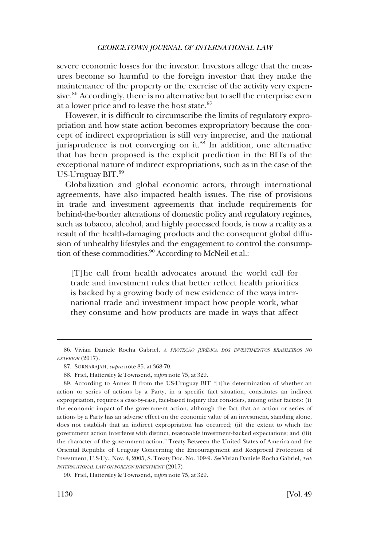severe economic losses for the investor. Investors allege that the measures become so harmful to the foreign investor that they make the maintenance of the property or the exercise of the activity very expensive.<sup>86</sup> Accordingly, there is no alternative but to sell the enterprise even at a lower price and to leave the host state.<sup>87</sup>

However, it is difficult to circumscribe the limits of regulatory expropriation and how state action becomes expropriatory because the concept of indirect expropriation is still very imprecise, and the national jurisprudence is not converging on it.<sup>88</sup> In addition, one alternative that has been proposed is the explicit prediction in the BITs of the exceptional nature of indirect expropriations, such as in the case of the US-Uruguay BIT.<sup>89</sup>

Globalization and global economic actors, through international agreements, have also impacted health issues. The rise of provisions in trade and investment agreements that include requirements for behind-the-border alterations of domestic policy and regulatory regimes, such as tobacco, alcohol, and highly processed foods, is now a reality as a result of the health-damaging products and the consequent global diffusion of unhealthy lifestyles and the engagement to control the consumption of these commodities.<sup>90</sup> According to McNeil et al.:

[T]he call from health advocates around the world call for trade and investment rules that better reflect health priorities is backed by a growing body of new evidence of the ways international trade and investment impact how people work, what they consume and how products are made in ways that affect

<sup>86.</sup> Vivian Daniele Rocha Gabriel, *A PROTEÇÃO JURÍDICA DOS INVESTIMENTOS BRASILEIROS NO EXTERIOR* (2017).

<sup>87.</sup> SORNARAJAH, *supra* note 85, at 368-70.

<sup>88.</sup> Friel, Hattersley & Townsend, *supra* note 75, at 329.

<sup>89.</sup> According to Annex B from the US-Uruguay BIT "[t]he determination of whether an action or series of actions by a Party, in a specific fact situation, constitutes an indirect expropriation, requires a case-by-case, fact-based inquiry that considers, among other factors: (i) the economic impact of the government action, although the fact that an action or series of actions by a Party has an adverse effect on the economic value of an investment, standing alone, does not establish that an indirect expropriation has occurred; (ii) the extent to which the government action interferes with distinct, reasonable investment-backed expectations; and (iii) the character of the government action." Treaty Between the United States of America and the Oriental Republic of Uruguay Concerning the Encouragement and Reciprocal Protection of Investment, U.S-Uy., Nov. 4, 2005, S. Treaty Doc. No. 109-9. *See* Vivian Daniele Rocha Gabriel, *THE INTERNATIONAL LAW ON FOREIGN INVESTMENT* (2017).

<sup>90.</sup> Friel, Hattersley & Townsend, *supra* note 75, at 329.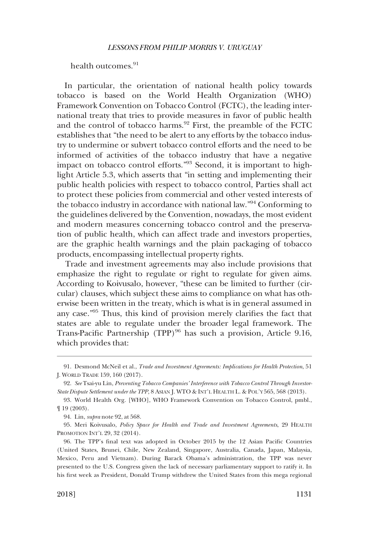health outcomes.<sup>91</sup>

In particular, the orientation of national health policy towards tobacco is based on the World Health Organization (WHO) Framework Convention on Tobacco Control (FCTC), the leading international treaty that tries to provide measures in favor of public health and the control of tobacco harms.<sup>92</sup> First, the preamble of the FCTC establishes that "the need to be alert to any efforts by the tobacco industry to undermine or subvert tobacco control efforts and the need to be informed of activities of the tobacco industry that have a negative impact on tobacco control efforts."93 Second, it is important to highlight Article 5.3, which asserts that "in setting and implementing their public health policies with respect to tobacco control, Parties shall act to protect these policies from commercial and other vested interests of the tobacco industry in accordance with national law."94 Conforming to the guidelines delivered by the Convention, nowadays, the most evident and modern measures concerning tobacco control and the preservation of public health, which can affect trade and investors properties, are the graphic health warnings and the plain packaging of tobacco products, encompassing intellectual property rights.

Trade and investment agreements may also include provisions that emphasize the right to regulate or right to regulate for given aims. According to Koivusalo, however, "these can be limited to further (circular) clauses, which subject these aims to compliance on what has otherwise been written in the treaty, which is what is in general assumed in any case."95 Thus, this kind of provision merely clarifies the fact that states are able to regulate under the broader legal framework. The Trans-Pacific Partnership (TPP)<sup>96</sup> has such a provision, Article 9.16, which provides that:

<sup>91.</sup> Desmond McNeil et al., *Trade and Investment Agreements: Implications for Health Protection*, 51 J. WORLD TRADE 159, 160 (2017).

<sup>92.</sup> *See* Tsai-yu Lin, *Preventing Tobacco Companies' Interference with Tobacco Control Through Investor-State Dispute Settlement under the TPP*, 8 ASIAN J. WTO & INT'L HEALTH L. & POL'Y 565, 568 (2013).

<sup>93.</sup> World Health Org. [WHO], WHO Framework Convention on Tobacco Control, pmbl., ¶ 19 (2003).

<sup>94.</sup> Lin, *supra* note 92, at 568.

<sup>95.</sup> Meri Koivusalo, *Policy Space for Health and Trade and Investment Agreements*, 29 HEALTH PROMOTION INT'L 29, 32 (2014).

<sup>96.</sup> The TPP's final text was adopted in October 2015 by the 12 Asian Pacific Countries (United States, Brunei, Chile, New Zealand, Singapore, Australia, Canada, Japan, Malaysia, Mexico, Peru and Vietnam). During Barack Obama's administration, the TPP was never presented to the U.S. Congress given the lack of necessary parliamentary support to ratify it. In his first week as President, Donald Trump withdrew the United States from this mega regional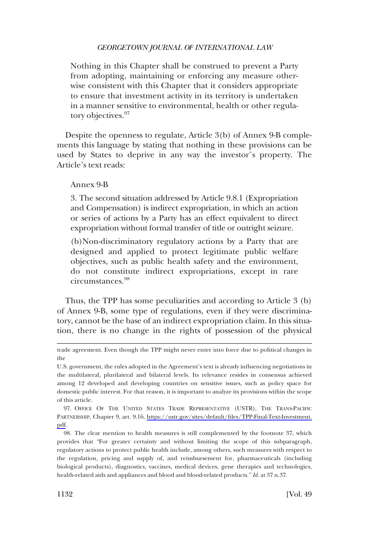Nothing in this Chapter shall be construed to prevent a Party from adopting, maintaining or enforcing any measure otherwise consistent with this Chapter that it considers appropriate to ensure that investment activity in its territory is undertaken in a manner sensitive to environmental, health or other regulatory objectives.<sup>97</sup>

Despite the openness to regulate, Article 3(b) of Annex 9-B complements this language by stating that nothing in these provisions can be used by States to deprive in any way the investor¨s property. The Article's text reads:

### Annex 9-B

3. The second situation addressed by Article 9.8.1 (Expropriation and Compensation) is indirect expropriation, in which an action or series of actions by a Party has an effect equivalent to direct expropriation without formal transfer of title or outright seizure.

(b)Non-discriminatory regulatory actions by a Party that are designed and applied to protect legitimate public welfare objectives, such as public health safety and the environment, do not constitute indirect expropriations, except in rare circumstances.<sup>98</sup>

Thus, the TPP has some peculiarities and according to Article 3 (b) of Annex 9-B, some type of regulations, even if they were discriminatory, cannot be the base of an indirect expropriation claim. In this situation, there is no change in the rights of possession of the physical

97. OFFICE OF THE UNITED STATES TRADE REPRESENTATIVE (USTR), THE TRANS-PACIFIC PARTNERSHIP, Chapter 9, art. 9.16, [https://ustr.gov/sites/default/files/TPP-Final-Text-Investment.](https://ustr.gov/sites/default/files/TPP-Final-Text-Investment.pdf)  [pdf.](https://ustr.gov/sites/default/files/TPP-Final-Text-Investment.pdf)

98. The clear mention to health measures is still complemented by the footnote 37, which provides that "For greater certainty and without limiting the scope of this subparagraph, regulatory actions to protect public health include, among others, such measures with respect to the regulation, pricing and supply of, and reimbursement for, pharmaceuticals (including biological products), diagnostics, vaccines, medical devices, gene therapies and technologies, health-related aids and appliances and blood and blood-related products." *Id*. at 37 n.37.

trade agreement. Even though the TPP might never enter into force due to political changes in the

U.S. government, the rules adopted in the Agreement's text is already influencing negotiations in the multilateral, plurilateral and bilateral levels. Its relevance resides in consensus achieved among 12 developed and developing countries on sensitive issues, such as policy space for domestic public interest. For that reason, it is important to analyze its provisions within the scope of this article.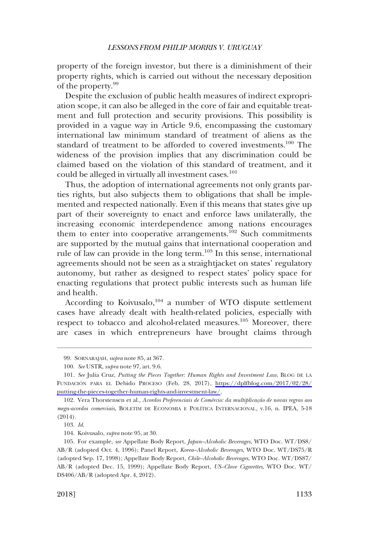property of the foreign investor, but there is a diminishment of their property rights, which is carried out without the necessary deposition of the property.<sup>99</sup>

Despite the exclusion of public health measures of indirect expropriation scope, it can also be alleged in the core of fair and equitable treatment and full protection and security provisions. This possibility is provided in a vague way in Article 9.6, encompassing the customary international law minimum standard of treatment of aliens as the standard of treatment to be afforded to covered investments.<sup>100</sup> The wideness of the provision implies that any discrimination could be claimed based on the violation of this standard of treatment, and it could be alleged in virtually all investment cases.<sup>101</sup>

Thus, the adoption of international agreements not only grants parties rights, but also subjects them to obligations that shall be implemented and respected nationally. Even if this means that states give up part of their sovereignty to enact and enforce laws unilaterally, the increasing economic interdependence among nations encourages them to enter into cooperative arrangements.<sup>102</sup> Such commitments are supported by the mutual gains that international cooperation and rule of law can provide in the long term.<sup>103</sup> In this sense, international agreements should not be seen as a straightjacket on states' regulatory autonomy, but rather as designed to respect states' policy space for enacting regulations that protect public interests such as human life and health.

According to Koivusalo,  $104$  a number of WTO dispute settlement cases have already dealt with health-related policies, especially with respect to tobacco and alcohol-related measures.<sup>105</sup> Moreover, there are cases in which entrepreneurs have brought claims through

<sup>99.</sup> SORNARAJAH, *supra* note 85, at 367.

<sup>100.</sup> *See* USTR, *supra* note 97, art. 9.6.

*See* Julia Cruz, *Putting the Pieces Together: Human Rights and Investment Law*, BLOG DE LA 101. FUNDACIO´ N PARA EL Debido PROCESO (Feb. 28, 2017), [https://dplfblog.com/2017/02/28/](https://dplfblog.com/2017/02/28/putting-the-pieces-together-human-rights-and-investment-law/)  [putting-the-pieces-together-human-rights-and-investment-law/.](https://dplfblog.com/2017/02/28/putting-the-pieces-together-human-rights-and-investment-law/)

<sup>102.</sup> Vera Thorstensen et al., *Acordos Preferenciais de Comércio: da multiplicação de novas regras aos mega-acordos comerciais*, BOLETIM DE ECONOMIA E POLI´TICA INTERNACIONAL, v.16, n. IPEA, 5-18 (2014).

<sup>103.</sup> *Id*.

<sup>104.</sup> Koivusalo, *supra* note 95, at 30.

<sup>105.</sup> For example, *see* Appellate Body Report, *Japan–Alcoholic Beverages*, WTO Doc. WT/DS8/ AB/R (adopted Oct. 4, 1996); Panel Report, *Korea–Alcoholic Beverages*, WTO Doc. WT/DS75/R (adopted Sep. 17, 1998); Appellate Body Report, *Chile–Alcoholic Beverages*, WTO Doc. WT/DS87/ AB/R (adopted Dec. 15, 1999); Appellate Body Report, *US–Clove Cigarettes*, WTO Doc. WT/ DS406/AB/R (adopted Apr. 4, 2012).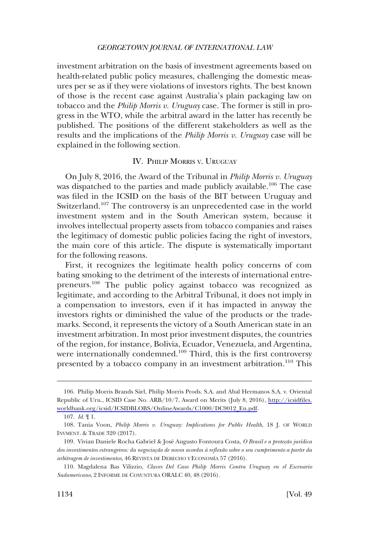<span id="page-17-0"></span>investment arbitration on the basis of investment agreements based on health-related public policy measures, challenging the domestic measures per se as if they were violations of investors rights. The best known of those is the recent case against Australia's plain packaging law on tobacco and the *Philip Morris v. Uruguay* case. The former is still in progress in the WTO, while the arbitral award in the latter has recently be published. The positions of the different stakeholders as well as the results and the implications of the *Philip Morris v. Uruguay* case will be explained in the following section.

### IV. PHILIP MORRIS V. URUGUAY

On July 8, 2016, the Award of the Tribunal in *Philip Morris v. Uruguay*  was dispatched to the parties and made publicly available.<sup>106</sup> The case was filed in the ICSID on the basis of the BIT between Uruguay and Switzerland.<sup>107</sup> The controversy is an unprecedented case in the world investment system and in the South American system, because it involves intellectual property assets from tobacco companies and raises the legitimacy of domestic public policies facing the right of investors, the main core of this article. The dispute is systematically important for the following reasons.

First, it recognizes the legitimate health policy concerns of com bating smoking to the detriment of the interests of international entrepreneurs.108 The public policy against tobacco was recognized as legitimate, and according to the Arbitral Tribunal, it does not imply in a compensation to investors, even if it has impacted in anyway the investors rights or diminished the value of the products or the trademarks. Second, it represents the victory of a South American state in an investment arbitration. In most prior investment disputes, the countries of the region, for instance, Bolivia, Ecuador, Venezuela, and Argentina, were internationally condemned.<sup>109</sup> Third, this is the first controversy presented by a tobacco company in an investment arbitration.<sup>110</sup> This

<sup>106.</sup> Philip Morris Brands Sàrl, Philip Morris Prods. S.A. and Abal Hermanos S.A. v. Oriental Republic of Uru., ICSID Case No. ARB/10/7, Award on Merits (July 8, 2016), [http://icsidfiles.](http://icsidfiles.worldbank.org/icsid/ICSIDBLOBS/OnlineAwards/C1000/DC9012_En.pdf) [worldbank.org/icsid/ICSIDBLOBS/OnlineAwards/C1000/DC9012\\_En.pdf](http://icsidfiles.worldbank.org/icsid/ICSIDBLOBS/OnlineAwards/C1000/DC9012_En.pdf).

<sup>107.</sup> *Id*. ¶ 1.

<sup>108.</sup> Tania Voon, *Philip Morris v. Uruguay: Implications for Public Health*, 18 J. OF WORLD INVMENT. & TRADE 320 (2017).

<sup>109.</sup> Vivian Daniele Rocha Gabriel & José Augusto Fontoura Costa, O Brasil e a proteção jurídica dos investimentos estrangeiros: da negociação de novos acordos à reflexão sobre o seu cumprimento a partir da *arbitragem de investimentos*, 46 REVISTA DE DERECHO Y ECONOMI´A 57 (2016).

<sup>110.</sup> Magdalena Bas Vilizzio, *Claves Del Caso Philip Morris Contra Uruguay en el Escenario Sudamericano*, 2 INFORME DE COYUNTURA ORALC 40, 48 (2016).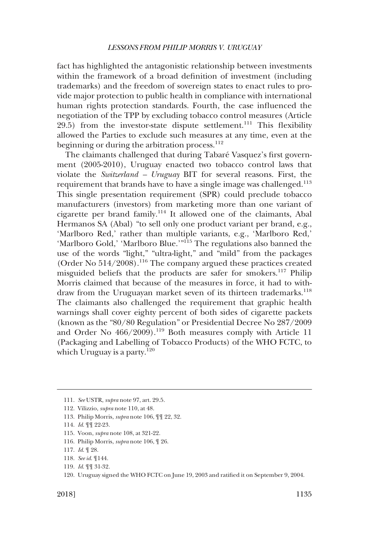fact has highlighted the antagonistic relationship between investments within the framework of a broad definition of investment (including trademarks) and the freedom of sovereign states to enact rules to provide major protection to public health in compliance with international human rights protection standards. Fourth, the case influenced the negotiation of the TPP by excluding tobacco control measures (Article  $29.5$ ) from the investor-state dispute settlement.<sup>111</sup> This flexibility allowed the Parties to exclude such measures at any time, even at the beginning or during the arbitration process. $^{112}$ 

The claimants challenged that during Tabaré Vasquez's first government (2005-2010), Uruguay enacted two tobacco control laws that violate the *Switzerland – Uruguay* BIT for several reasons. First, the requirement that brands have to have a single image was challenged.<sup>113</sup> This single presentation requirement (SPR) could preclude tobacco manufacturers (investors) from marketing more than one variant of cigarette per brand family.114 It allowed one of the claimants, Abal Hermanos SA (Abal) "to sell only one product variant per brand, e.g., 'Marlboro Red,' rather than multiple variants, e.g., 'Marlboro Red,' 'Marlboro Gold,' 'Marlboro Blue.'"<sup>115</sup> The regulations also banned the use of the words "light," "ultra-light," and "mild" from the packages (Order No 514/2008).116 The company argued these practices created misguided beliefs that the products are safer for smokers.117 Philip Morris claimed that because of the measures in force, it had to withdraw from the Uruguayan market seven of its thirteen trademarks.<sup>118</sup> The claimants also challenged the requirement that graphic health warnings shall cover eighty percent of both sides of cigarette packets (known as the "80/80 Regulation" or Presidential Decree No 287/2009 and Order No  $466/2009$ .<sup>119</sup> Both measures comply with Article 11 (Packaging and Labelling of Tobacco Products) of the WHO FCTC, to which Uruguay is a party. $120$ 

- 115. Voon, *supra* note 108, at 321-22.
- 116. Philip Morris, *supra* note 106, ¶ 26.

- 118. *See id*. ¶144.
- 119. *Id*. ¶¶ 31-32.
- 120. Uruguay signed the WHO FCTC on June 19, 2003 and ratified it on September 9, 2004.

<sup>111.</sup> *See* USTR, *supra* note 97, art. 29.5.

<sup>112.</sup> Vilizzio, *supra* note 110, at 48.

<sup>113.</sup> Philip Morris, *supra* note 106, ¶¶ 22, 32.

<sup>114.</sup> *Id*. ¶¶ 22-23.

<sup>117.</sup> *Id*. ¶ 28.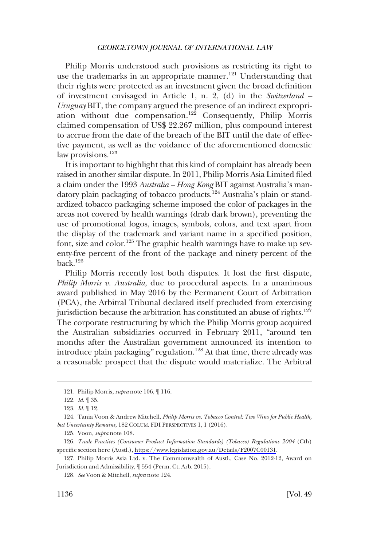Philip Morris understood such provisions as restricting its right to use the trademarks in an appropriate manner.<sup>121</sup> Understanding that their rights were protected as an investment given the broad definition of investment envisaged in Article 1, n. 2, (d) in the *Switzerland – Uruguay* BIT, the company argued the presence of an indirect expropriation without due compensation.122 Consequently, Philip Morris claimed compensation of US\$ 22.267 million, plus compound interest to accrue from the date of the breach of the BIT until the date of effective payment, as well as the voidance of the aforementioned domestic law provisions.<sup>123</sup>

It is important to highlight that this kind of complaint has already been raised in another similar dispute. In 2011, Philip Morris Asia Limited filed a claim under the 1993 *Australia – Hong Kong* BIT against Australia's mandatory plain packaging of tobacco products.124 Australia's plain or standardized tobacco packaging scheme imposed the color of packages in the areas not covered by health warnings (drab dark brown), preventing the use of promotional logos, images, symbols, colors, and text apart from the display of the trademark and variant name in a specified position, font, size and color.125 The graphic health warnings have to make up seventy-five percent of the front of the package and ninety percent of the back.126

Philip Morris recently lost both disputes. It lost the first dispute, *Philip Morris v. Australia*, due to procedural aspects. In a unanimous award published in May 2016 by the Permanent Court of Arbitration (PCA), the Arbitral Tribunal declared itself precluded from exercising jurisdiction because the arbitration has constituted an abuse of rights.<sup>127</sup> The corporate restructuring by which the Philip Morris group acquired the Australian subsidiaries occurred in February 2011, "around ten months after the Australian government announced its intention to introduce plain packaging" regulation.<sup>128</sup> At that time, there already was a reasonable prospect that the dispute would materialize. The Arbitral

<sup>121.</sup> Philip Morris, *supra* note 106, ¶ 116.

<sup>122.</sup> *Id*. ¶ 35.

<sup>123.</sup> *Id*. ¶ 12.

<sup>124.</sup> Tania Voon & Andrew Mitchell, *Philip Morris vs. Tobacco Control: Two Wins for Public Health, but Uncertainty Remains*, 182 COLUM. FDI PERSPECTIVES 1, 1 (2016).

<sup>125.</sup> Voon, *supra* note 108.

<sup>126.</sup> Trade Practices (Consumer Product Information Standards) (Tobacco) Regulations 2004 (Cth) specific section here (Austl.), [https://www.legislation.gov.au/Details/F2007C00131.](https://www.legislation.gov.au/Details/F2007C00131)

<sup>127.</sup> Philip Morris Asia Ltd. v. The Commonwealth of Austl., Case No. 2012-12, Award on Jurisdiction and Admissibility, ¶ 554 (Perm. Ct. Arb. 2015).

<sup>128.</sup> *See* Voon & Mitchell, *supra* note 124.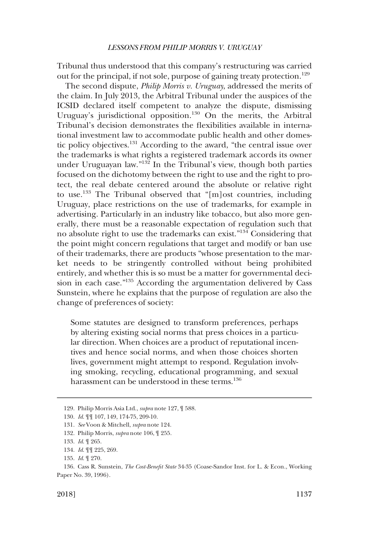Tribunal thus understood that this company's restructuring was carried out for the principal, if not sole, purpose of gaining treaty protection.<sup>129</sup>

The second dispute, *Philip Morris v. Uruguay*, addressed the merits of the claim. In July 2013, the Arbitral Tribunal under the auspices of the ICSID declared itself competent to analyze the dispute, dismissing Uruguay's jurisdictional opposition.<sup>130</sup> On the merits, the Arbitral Tribunal's decision demonstrates the flexibilities available in international investment law to accommodate public health and other domestic policy objectives.131 According to the award, "the central issue over the trademarks is what rights a registered trademark accords its owner under Uruguayan law."<sup>132</sup> In the Tribunal's view, though both parties focused on the dichotomy between the right to use and the right to protect, the real debate centered around the absolute or relative right to use.<sup>133</sup> The Tribunal observed that "[m]ost countries, including Uruguay, place restrictions on the use of trademarks, for example in advertising. Particularly in an industry like tobacco, but also more generally, there must be a reasonable expectation of regulation such that no absolute right to use the trademarks can exist."134 Considering that the point might concern regulations that target and modify or ban use of their trademarks, there are products "whose presentation to the market needs to be stringently controlled without being prohibited entirely, and whether this is so must be a matter for governmental decision in each case."135 According the argumentation delivered by Cass Sunstein, where he explains that the purpose of regulation are also the change of preferences of society:

Some statutes are designed to transform preferences, perhaps by altering existing social norms that press choices in a particular direction. When choices are a product of reputational incentives and hence social norms, and when those choices shorten lives, government might attempt to respond. Regulation involving smoking, recycling, educational programming, and sexual harassment can be understood in these terms.<sup>136</sup>

<sup>129.</sup> Philip Morris Asia Ltd., *supra* note 127, ¶ 588.

<sup>130.</sup> *Id*. ¶¶ 107, 149, 174-75, 209-10.

<sup>131.</sup> *See* Voon & Mitchell, *supra* note 124.

<sup>132.</sup> Philip Morris, *supra* note 106, ¶ 255.

<sup>133.</sup> *Id*. ¶ 265.

<sup>134.</sup> *Id*. ¶¶ 225, 269.

<sup>135.</sup> *Id*. ¶ 270.

<sup>136.</sup> Cass R. Sunstein, *The Cost-Benefit State* 34-35 (Coase-Sandor Inst. for L. & Econ., Working Paper No. 39, 1996).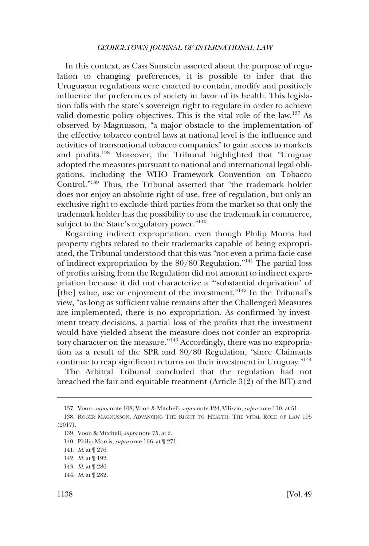In this context, as Cass Sunstein asserted about the purpose of regulation to changing preferences, it is possible to infer that the Uruguayan regulations were enacted to contain, modify and positively influence the preferences of society in favor of its health. This legislation falls with the state's sovereign right to regulate in order to achieve valid domestic policy objectives. This is the vital role of the law.<sup>137</sup> As observed by Magnusson, "a major obstacle to the implementation of the effective tobacco control laws at national level is the influence and activities of transnational tobacco companies" to gain access to markets and profits.138 Moreover, the Tribunal highlighted that "Uruguay adopted the measures pursuant to national and international legal obligations, including the WHO Framework Convention on Tobacco Control."139 Thus, the Tribunal asserted that "the trademark holder does not enjoy an absolute right of use, free of regulation, but only an exclusive right to exclude third parties from the market so that only the trademark holder has the possibility to use the trademark in commerce, subject to the State's regulatory power."<sup>140</sup>

Regarding indirect expropriation, even though Philip Morris had property rights related to their trademarks capable of being expropriated, the Tribunal understood that this was "not even a prima facie case of indirect expropriation by the  $80/80$  Regulation."<sup>141</sup> The partial loss of profits arising from the Regulation did not amount to indirect expropriation because it did not characterize a "'substantial deprivation' of [the] value, use or enjoyment of the investment."<sup>142</sup> In the Tribunal's view, "as long as sufficient value remains after the Challenged Measures are implemented, there is no expropriation. As confirmed by investment treaty decisions, a partial loss of the profits that the investment would have yielded absent the measure does not confer an expropriatory character on the measure."143 Accordingly, there was no expropriation as a result of the SPR and 80/80 Regulation, "since Claimants continue to reap significant returns on their investment in Uruguay."144

The Arbitral Tribunal concluded that the regulation had not breached the fair and equitable treatment (Article 3(2) of the BIT) and

<sup>137.</sup> Voon, *supra* note 108; Voon & Mitchell, *supra* note 124; Vilizzio, *supra* note 110, at 51.

<sup>138.</sup> ROGER MAGNUSSON, ADVANCING THE RIGHT TO HEALTH: THE VITAL ROLE OF LAW 195 (2017).

<sup>139.</sup> Voon & Mitchell, *supra* note 75, at 2.

<sup>140.</sup> Philip Morris, *supra* note 106, at ¶ 271.

<sup>141.</sup> *Id*. at ¶ 276.

<sup>142.</sup> *Id*. at ¶ 192.

<sup>143.</sup> *Id*. at ¶ 286.

<sup>144.</sup> *Id*. at ¶ 282.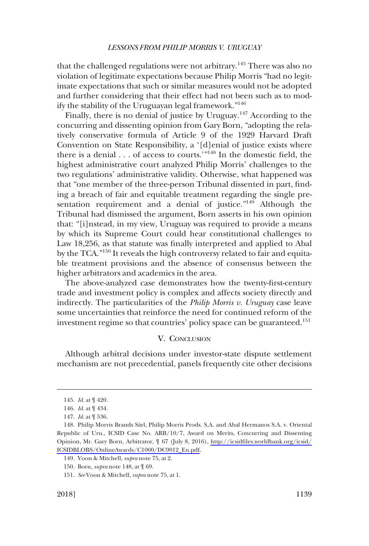<span id="page-22-0"></span>that the challenged regulations were not arbitrary.<sup>145</sup> There was also no violation of legitimate expectations because Philip Morris "had no legitimate expectations that such or similar measures would not be adopted and further considering that their effect had not been such as to modify the stability of the Uruguayan legal framework."<sup>146</sup>

Finally, there is no denial of justice by Uruguay.<sup>147</sup> According to the concurring and dissenting opinion from Gary Born, "adopting the relatively conservative formula of Article 9 of the 1929 Harvard Draft Convention on State Responsibility, a '[d]enial of justice exists where there is a denial  $\ldots$  of access to courts.'"<sup>148</sup> In the domestic field, the highest administrative court analyzed Philip Morris' challenges to the two regulations' administrative validity. Otherwise, what happened was that "one member of the three-person Tribunal dissented in part, finding a breach of fair and equitable treatment regarding the single presentation requirement and a denial of justice."<sup>149</sup> Although the Tribunal had dismissed the argument, Born asserts in his own opinion that: "[i]nstead, in my view, Uruguay was required to provide a means by which its Supreme Court could hear constitutional challenges to Law 18,256, as that statute was finally interpreted and applied to Abal by the TCA.<sup>"150</sup> It reveals the high controversy related to fair and equitable treatment provisions and the absence of consensus between the higher arbitrators and academics in the area.

The above-analyzed case demonstrates how the twenty-first-century trade and investment policy is complex and affects society directly and indirectly. The particularities of the *Philip Morris v. Uruguay* case leave some uncertainties that reinforce the need for continued reform of the investment regime so that countries' policy space can be guaranteed.<sup>151</sup>

### V. CONCLUSION

Although arbitral decisions under investor-state dispute settlement mechanism are not precedential, panels frequently cite other decisions

<sup>145.</sup> *Id*. at ¶ 420.

<sup>146.</sup> *Id*. at ¶ 434.

<sup>147.</sup> *Id*. at ¶ 536.

<sup>148.</sup> Philip Morris Brands Sàrl, Philip Morris Prods. S.A. and Abal Hermanos S.A. v. Oriental Republic of Uru., ICSID Case No. ARB/10/7, Award on Merits, Concurring and Dissenting Opinion, Mr. Gary Born, Arbitrator, ¶ 67 (July 8, 2016), [http://icsidfiles.worldbank.org/icsid/](http://icsidfiles.worldbank.org/icsid/ICSIDBLOBS/OnlineAwards/C1000/DC9012_En.pdf) [ICSIDBLOBS/OnlineAwards/C1000/DC9012\\_En.pdf](http://icsidfiles.worldbank.org/icsid/ICSIDBLOBS/OnlineAwards/C1000/DC9012_En.pdf).

<sup>149.</sup> Voon & Mitchell, *supra* note 75, at 2.

<sup>150.</sup> Born, *supra* note 148, at ¶ 69.

<sup>151.</sup> *See* Voon & Mitchell, *supra* note 75, at 1.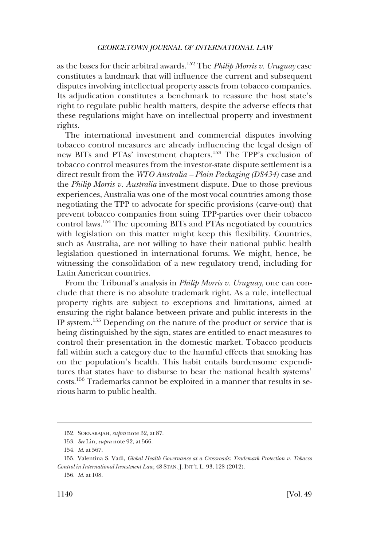as the bases for their arbitral awards.152 The *Philip Morris v. Uruguay* case constitutes a landmark that will influence the current and subsequent disputes involving intellectual property assets from tobacco companies. Its adjudication constitutes a benchmark to reassure the host state's right to regulate public health matters, despite the adverse effects that these regulations might have on intellectual property and investment rights.

The international investment and commercial disputes involving tobacco control measures are already influencing the legal design of new BITs and PTAs' investment chapters.153 The TPP's exclusion of tobacco control measures from the investor-state dispute settlement is a direct result from the *WTO Australia – Plain Packaging (DS434)* case and the *Philip Morris v. Australia* investment dispute. Due to those previous experiences, Australia was one of the most vocal countries among those negotiating the TPP to advocate for specific provisions (carve-out) that prevent tobacco companies from suing TPP-parties over their tobacco control laws.154 The upcoming BITs and PTAs negotiated by countries with legislation on this matter might keep this flexibility. Countries, such as Australia, are not willing to have their national public health legislation questioned in international forums. We might, hence, be witnessing the consolidation of a new regulatory trend, including for Latin American countries.

From the Tribunal's analysis in *Philip Morris v. Uruguay*, one can conclude that there is no absolute trademark right. As a rule, intellectual property rights are subject to exceptions and limitations, aimed at ensuring the right balance between private and public interests in the IP system.155 Depending on the nature of the product or service that is being distinguished by the sign, states are entitled to enact measures to control their presentation in the domestic market. Tobacco products fall within such a category due to the harmful effects that smoking has on the population's health. This habit entails burdensome expenditures that states have to disburse to bear the national health systems' costs.156 Trademarks cannot be exploited in a manner that results in serious harm to public health.

<sup>152.</sup> SORNARAJAH, *supra* note 32, at 87.

<sup>153.</sup> *See* Lin, *supra* note 92, at 566.

<sup>154.</sup> *Id*. at 567.

<sup>155.</sup> Valentina S. Vadi, *Global Health Governance at a Crossroads: Trademark Protection v. Tobacco Control in International Investment Law*, 48 STAN. J. INT'L L. 93, 128 (2012).

<sup>156.</sup> *Id*. at 108.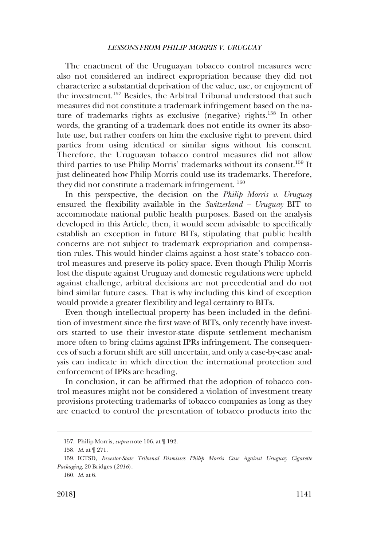The enactment of the Uruguayan tobacco control measures were also not considered an indirect expropriation because they did not characterize a substantial deprivation of the value, use, or enjoyment of the investment.157 Besides, the Arbitral Tribunal understood that such measures did not constitute a trademark infringement based on the nature of trademarks rights as exclusive (negative) rights.158 In other words, the granting of a trademark does not entitle its owner its absolute use, but rather confers on him the exclusive right to prevent third parties from using identical or similar signs without his consent. Therefore, the Uruguayan tobacco control measures did not allow third parties to use Philip Morris' trademarks without its consent.<sup>159</sup> It just delineated how Philip Morris could use its trademarks. Therefore, they did not constitute a trademark infringement.<sup>160</sup>

In this perspective, the decision on the *Philip Morris v. Uruguay*  ensured the flexibility available in the *Switzerland – Uruguay* BIT to accommodate national public health purposes. Based on the analysis developed in this Article, then, it would seem advisable to specifically establish an exception in future BITs, stipulating that public health concerns are not subject to trademark expropriation and compensation rules. This would hinder claims against a host state's tobacco control measures and preserve its policy space. Even though Philip Morris lost the dispute against Uruguay and domestic regulations were upheld against challenge, arbitral decisions are not precedential and do not bind similar future cases. That is why including this kind of exception would provide a greater flexibility and legal certainty to BITs.

Even though intellectual property has been included in the definition of investment since the first wave of BITs, only recently have investors started to use their investor-state dispute settlement mechanism more often to bring claims against IPRs infringement. The consequences of such a forum shift are still uncertain, and only a case-by-case analysis can indicate in which direction the international protection and enforcement of IPRs are heading.

In conclusion, it can be affirmed that the adoption of tobacco control measures might not be considered a violation of investment treaty provisions protecting trademarks of tobacco companies as long as they are enacted to control the presentation of tobacco products into the

<sup>157.</sup> Philip Morris, *supra* note 106, at ¶ 192.

<sup>158.</sup> *Id*. at ¶ 271.

<sup>159.</sup> ICTSD, *Investor-State Tribunal Dismisses Philip Morris Case Against Uruguay Cigarette Packaging*, 20 Bridges (*2016*).

<sup>160.</sup> *Id*. at 6.